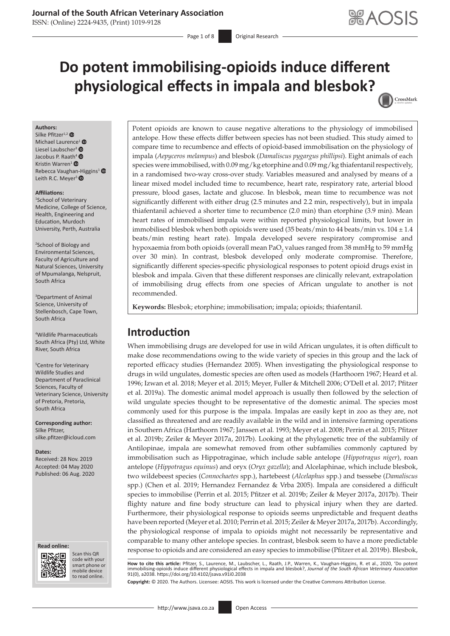### **Journal of the South African Veterinary Association**

ISSN: (Online) 2224-9435, (Print) 1019-9128

Page 1 of 8 **Original Research** 

# **Do potent immobilising-opioids induce different physiological effects in impala and blesbok?** CrossMark

#### **Authors:**

Silke Pfitzer<sup>1,[2](https://orcid.org/0000-0001-8119-3999)</sup> $\bullet$ Michael Laurence<sup>[1](https://orcid.org/0000-0003-1215-2848)</sup> ® Liesel Laubscher<sup>[3](https://orcid.org/0000-0002-5982-2653)</sup> Jacobus P. Raath<sup>[4](https://orcid.org/0000-0001-5083-4386)</sup>  $\bullet$ Kristin Warren<sup>[1](https://orcid.org/0000-0002-9328-2013)</sup> $\bullet$ Rebecca Vaugha[n-Hi](https://orcid.org/0000-0002-5122-2469)ggins<sup>[1](https://orcid.org/0000-0001-7609-9818)</sup> Leith R.C. Meyer<sup>5</sup>

#### **Affiliations:**

1 School of Veterinary Medicine, College of Science, Health, Engineering and Education, Murdoch University, Perth, Australia

2 School of Biology and Environmental Sciences, Faculty of Agriculture and Natural Sciences, University of Mpumalanga, Nelspruit, South Africa

3 Department of Animal Science, University of Stellenbosch, Cape Town, South Africa

4 Wildlife Pharmaceuticals South Africa (Pty) Ltd, White River, South Africa

5 Centre for Veterinary Wildlife Studies and Department of Paraclinical Sciences, Faculty of Veterinary Science, University of Pretoria, Pretoria, South Africa

**Corresponding author:** Silke Pfitzer, [silke.pfitzer@icloud.com](mailto:silke.pfitzer@icloud.com)

#### **Dates:**

Received: 28 Nov. 2019 Accepted: 04 May 2020 Published: 06 Aug. 2020

#### **Read online: Read online:**



Scan this QR code with your Scan this QR<br>code with your<br>smart phone or<br>mobile device mobile device to read online. to read online.

Potent opioids are known to cause negative alterations to the physiology of immobilised antelope. How these effects differ between species has not been studied. This study aimed to compare time to recumbence and effects of opioid-based immobilisation on the physiology of impala (*Aepyceros melampus*) and blesbok (*Damaliscus pygargus phillipsi*). Eight animals of each species were immobilised, with 0.09 mg/kg etorphine and 0.09 mg/kg thiafentanil respectively, in a randomised two-way cross-over study. Variables measured and analysed by means of a linear mixed model included time to recumbence, heart rate, respiratory rate, arterial blood pressure, blood gases, lactate and glucose. In blesbok, mean time to recumbence was not significantly different with either drug (2.5 minutes and 2.2 min, respectively), but in impala thiafentanil achieved a shorter time to recumbence (2.0 min) than etorphine (3.9 min). Mean heart rates of immobilised impala were within reported physiological limits, but lower in immobilised blesbok when both opioids were used (35 beats/min to 44 beats/min vs.  $104 \pm 1.4$ beats/min resting heart rate). Impala developed severe respiratory compromise and hypoxaemia from both opioids (overall mean PaO<sub>2</sub> values ranged from 38 mmHg to 59 mmHg over 30 min). In contrast, blesbok developed only moderate compromise. Therefore, significantly different species-specific physiological responses to potent opioid drugs exist in blesbok and impala. Given that these different responses are clinically relevant, extrapolation of immobilising drug effects from one species of African ungulate to another is not recommended.

**Keywords:** Blesbok; etorphine; immobilisation; impala; opioids; thiafentanil.

# **Introduction**

When immobilising drugs are developed for use in wild African ungulates, it is often difficult to make dose recommendations owing to the wide variety of species in this group and the lack of reported efficacy studies (Hernandez 2005). When investigating the physiological response to drugs in wild ungulates, domestic species are often used as models (Harthoorn 1967; Heard et al. 1996; Izwan et al. 2018; Meyer et al. 2015; Meyer, Fuller & Mitchell 2006; O'Dell et al. 2017; Pfitzer et al. 2019a). The domestic animal model approach is usually then followed by the selection of wild ungulate species thought to be representative of the domestic animal. The species most commonly used for this purpose is the impala. Impalas are easily kept in zoo as they are, not classified as threatened and are readily available in the wild and in intensive farming operations in Southern Africa (Harthoorn 1967; Janssen et al*.* 1993; Meyer et al. 2008; Perrin et al. 2015; Pfitzer et al. 2019b; Zeiler & Meyer 2017a, 2017b). Looking at the phylogenetic tree of the subfamily of Antilopinae, impala are somewhat removed from other subfamilies commonly captured by immobilisation such as Hippotraginae, which include sable antelope (*Hippotragus niger*), roan antelope (*Hippotragus equinus*) and oryx (*Oryx gazella*); and Alcelaphinae, which include blesbok, two wildebeest species (*Connochaetes* spp.), hartebeest (*Alcelaphus* spp.) and tsessebe (*Damaliscus*  spp.) (Chen et al. 2019; Hernandez Fernandez & Vrba 2005). Impala are considered a difficult species to immobilise (Perrin et al. 2015; Pfitzer et al. 2019b; Zeiler & Meyer 2017a, 2017b). Their flighty nature and fine body structure can lead to physical injury when they are darted. Furthermore, their physiological response to opioids seems unpredictable and frequent deaths have been reported (Meyer et al. 2010; Perrin et al. 2015; Zeiler & Meyer 2017a, 2017b). Accordingly, the physiological response of impala to opioids might not necessarily be representative and comparable to many other antelope species. In contrast, blesbok seem to have a more predictable response to opioids and are considered an easy species to immobilise (Pfitzer et al*.* 2019b). Blesbok,

**How to cite this article:** Pfitzer, S., Laurence, M., Laubscher, L., Raath, J.P., Warren, K., Vaughan-Higgins, R. et al., 2020, 'Do potent immobilising-opioids induce different physiological effects in impala and blesbok?, *Journal of the South African Veterinary Association* 91(0), a2038. <https://doi.org/10.4102/jsava.v91i0.2038>

**Copyright:** © 2020. The Authors. Licensee: AOSIS. This work is licensed under the Creative Commons Attribution License.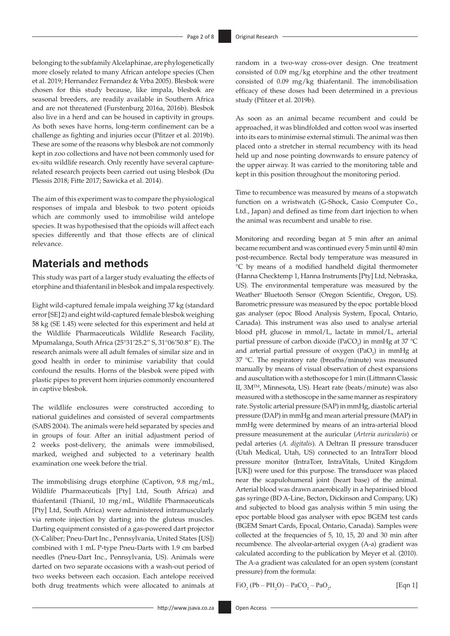belonging to the subfamily Alcelaphinae, are phylogenetically more closely related to many African antelope species (Chen et al. 2019; Hernandez Fernandez & Vrba 2005). Blesbok were chosen for this study because, like impala, blesbok are seasonal breeders, are readily available in Southern Africa and are not threatened (Furstenburg 2016a, 2016b). Blesbok also live in a herd and can be housed in captivity in groups. As both sexes have horns, long-term confinement can be a challenge as fighting and injuries occur (Pfitzer et al. 2019b). These are some of the reasons why blesbok are not commonly kept in zoo collections and have not been commonly used for ex-situ wildlife research. Only recently have several capturerelated research projects been carried out using blesbok (Du Plessis 2018; Fitte 2017; Sawicka et al. 2014).

The aim of this experiment was to compare the physiological responses of impala and blesbok to two potent opioids which are commonly used to immobilise wild antelope species. It was hypothesised that the opioids will affect each species differently and that those effects are of clinical relevance.

# **Materials and methods**

This study was part of a larger study evaluating the effects of etorphine and thiafentanil in blesbok and impala respectively.

Eight wild-captured female impala weighing 37 kg (standard error [SE] 2) and eight wild-captured female blesbok weighing 58 kg (SE 1.45) were selected for this experiment and held at the Wildlife Pharmaceuticals Wildlife Research Facility, Mpumalanga, South Africa (25°31'25.2" S, 31°06'50.8" E). The research animals were all adult females of similar size and in good health in order to minimise variability that could confound the results. Horns of the blesbok were piped with plastic pipes to prevent horn injuries commonly encountered in captive blesbok.

The wildlife enclosures were constructed according to national guidelines and consisted of several compartments (SABS 2004). The animals were held separated by species and in groups of four. After an initial adjustment period of 2 weeks post-delivery, the animals were immobilised, marked, weighed and subjected to a veterinary health examination one week before the trial.

The immobilising drugs etorphine (Captivon, 9.8 mg/mL, Wildlife Pharmaceuticals [Pty] Ltd, South Africa) and thiafentanil (Thianil, 10 mg/mL, Wildlife Pharmaceuticals [Pty] Ltd, South Africa) were administered intramuscularly via remote injection by darting into the gluteus muscles. Darting equipment consisted of a gas-powered dart projector (X-Caliber; Pneu-Dart Inc., Pennsylvania, United States [US]) combined with 1 mL P-type Pneu-Darts with 1.9 cm barbed needles (Pneu-Dart Inc., Pennsylvania, US). Animals were darted on two separate occasions with a wash-out period of two weeks between each occasion. Each antelope received both drug treatments which were allocated to animals at

random in a two-way cross-over design. One treatment consisted of 0.09 mg/kg etorphine and the other treatment consisted of 0.09 mg/kg thiafentanil. The immobilisation efficacy of these doses had been determined in a previous study (Pfitzer et al. 2019b).

As soon as an animal became recumbent and could be approached, it was blindfolded and cotton wool was inserted into its ears to minimise external stimuli. The animal was then placed onto a stretcher in sternal recumbency with its head held up and nose pointing downwards to ensure patency of the upper airway. It was carried to the monitoring table and kept in this position throughout the monitoring period.

Time to recumbence was measured by means of a stopwatch function on a wristwatch (G-Shock, Casio Computer Co., Ltd., Japan) and defined as time from dart injection to when the animal was recumbent and unable to rise.

Monitoring and recording began at 5 min after an animal became recumbent and was continued every 5 min until 40 min post-recumbence. Rectal body temperature was measured in °C by means of a modified handheld digital thermometer (Hanna Checktemp 1, Hanna Instruments [Pty] Ltd, Nebraska, US). The environmental temperature was measured by the Weather<sup>+</sup> Bluetooth Sensor (Oregon Scientific, Oregon, US). Barometric pressure was measured by the epoc portable blood gas analyser (epoc Blood Analysis System, Epocal, Ontario, Canada). This instrument was also used to analyse arterial blood pH, glucose in mmol/L, lactate in mmol/L, arterial partial pressure of carbon dioxide (PaCO<sub>2</sub>) in mmHg at 37 °C and arterial partial pressure of oxygen  $(PaO<sub>2</sub>)$  in mmHg at 37 °C. The respiratory rate (breaths/minute) was measured manually by means of visual observation of chest expansions and auscultation with a stethoscope for 1 min (Littmann Classic II, 3MTM, Minnesota, US). Heart rate (beats/minute) was also measured with a stethoscope in the same manner as respiratory rate. Systolic arterial pressure (SAP) in mmHg, diastolic arterial pressure (DAP) in mmHg and mean arterial pressure (MAP) in mmHg were determined by means of an intra-arterial blood pressure measurement at the auricular (*Arteria auricularis*) or pedal arteries (*A. digitalis*). A Deltran II pressure transducer (Utah Medical, Utah, US) connected to an IntraTorr blood pressure monitor (IntraTorr, IntraVitals, United Kingdom [UK]) were used for this purpose. The transducer was placed near the scapulohumeral joint (heart base) of the animal. Arterial blood was drawn anaerobically in a heparinised blood gas syringe (BD A-Line, Becton, Dickinson and Company, UK) and subjected to blood gas analysis within 5 min using the epoc portable blood gas analyser with epoc BGEM test cards (BGEM Smart Cards, Epocal, Ontario, Canada). Samples were collected at the frequencies of 5, 10, 15, 20 and 30 min after recumbence. The alveolar-arterial oxygen (A-a) gradient was calculated according to the publication by Meyer et al. (2010). The A-a gradient was calculated for an open system (constant pressure) from the formula:

 $FiO_2 (Pb - PH_2O) - PaCO_2 - PaO_2$ [Eqn 1]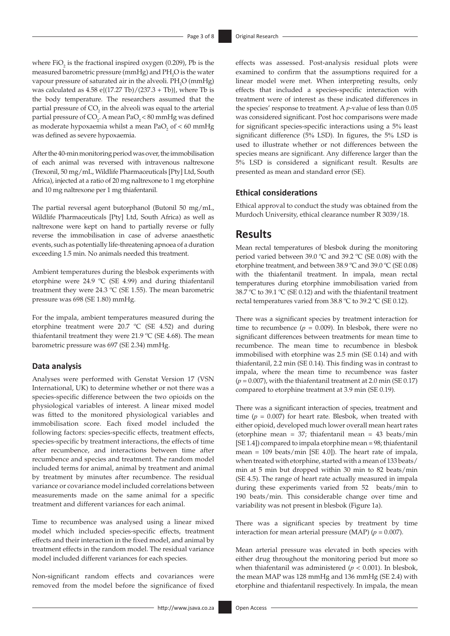where  $FiO_2$  is the fractional inspired oxygen (0.209), Pb is the measured barometric pressure (mmHg) and  $PH_2O$  is the water vapour pressure of saturated air in the alveoli.  $PH_2O$  (mmHg) was calculated as  $4.58 \text{ e}$  $\frac{(17.27 \text{ Tb})}{(237.3 + \text{ Tb})}$ , where Tb is the body temperature. The researchers assumed that the partial pressure of  $CO<sub>2</sub>$  in the alveoli was equal to the arterial partial pressure of CO<sub>2</sub>. A mean PaO<sub>2</sub> < 80 mmHg was defined as moderate hypoxaemia whilst a mean PaO<sub>2</sub> of  $<$  60 mmHg was defined as severe hypoxaemia.

After the 40-min monitoring period was over, the immobilisation of each animal was reversed with intravenous naltrexone (Trexonil, 50 mg/mL, Wildlife Pharmaceuticals [Pty] Ltd, South Africa), injected at a ratio of 20 mg naltrexone to 1 mg etorphine and 10 mg naltrexone per 1 mg thiafentanil.

The partial reversal agent butorphanol (Butonil 50 mg/mL, Wildlife Pharmaceuticals [Pty] Ltd, South Africa) as well as naltrexone were kept on hand to partially reverse or fully reverse the immobilisation in case of adverse anaesthetic events, such as potentially life-threatening apnoea of a duration exceeding 1.5 min. No animals needed this treatment.

Ambient temperatures during the blesbok experiments with etorphine were 24.9 ºC (SE 4.99) and during thiafentanil treatment they were 24.3 ºC (SE 1.55). The mean barometric pressure was 698 (SE 1.80) mmHg.

For the impala, ambient temperatures measured during the etorphine treatment were 20.7 ºC (SE 4.52) and during thiafentanil treatment they were 21.9 ºC (SE 4.68). The mean barometric pressure was 697 (SE 2.34) mmHg.

#### **Data analysis**

Analyses were performed with Genstat Version 17 (VSN International, UK) to determine whether or not there was a species-specific difference between the two opioids on the physiological variables of interest. A linear mixed model was fitted to the monitored physiological variables and immobilisation score. Each fixed model included the following factors: species-specific effects, treatment effects, species-specific by treatment interactions, the effects of time after recumbence, and interactions between time after recumbence and species and treatment. The random model included terms for animal, animal by treatment and animal by treatment by minutes after recumbence. The residual variance or covariance model included correlations between measurements made on the same animal for a specific treatment and different variances for each animal.

Time to recumbence was analysed using a linear mixed model which included species-specific effects, treatment effects and their interaction in the fixed model, and animal by treatment effects in the random model. The residual variance model included different variances for each species.

Non-significant random effects and covariances were removed from the model before the significance of fixed

- <http://www.jsava.co.za> Open Access

effects was assessed. Post-analysis residual plots were examined to confirm that the assumptions required for a linear model were met. When interpreting results, only effects that included a species-specific interaction with treatment were of interest as these indicated differences in the species' response to treatment. A *p*-value of less than 0.05 was considered significant. Post hoc comparisons were made for significant species-specific interactions using a 5% least significant difference (5% LSD). In figures, the 5% LSD is used to illustrate whether or not differences between the species means are significant. Any difference larger than the 5% LSD is considered a significant result. Results are presented as mean and standard error (SE).

#### **Ethical considerations**

Ethical approval to conduct the study was obtained from the Murdoch University, ethical clearance number R 3039/18.

## **Results**

Mean rectal temperatures of blesbok during the monitoring period varied between 39.0 ºC and 39.2 ºC (SE 0.08) with the etorphine treatment, and between 38.9 ºC and 39.0 ºC (SE 0.08) with the thiafentanil treatment. In impala, mean rectal temperatures during etorphine immobilisation varied from 38.7 ºC to 39.1 ºC (SE 0.12) and with the thiafentanil treatment rectal temperatures varied from 38.8 ºC to 39.2 ºC (SE 0.12).

There was a significant species by treatment interaction for time to recumbence  $(p = 0.009)$ . In blesbok, there were no significant differences between treatments for mean time to recumbence. The mean time to recumbence in blesbok immobilised with etorphine was 2.5 min (SE 0.14) and with thiafentanil, 2.2 min (SE 0.14). This finding was in contrast to impala, where the mean time to recumbence was faster  $(p = 0.007)$ , with the thiafentanil treatment at 2.0 min (SE 0.17) compared to etorphine treatment at 3.9 min (SE 0.19).

There was a significant interaction of species, treatment and time  $(p = 0.007)$  for heart rate. Blesbok, when treated with either opioid, developed much lower overall mean heart rates (etorphine mean = 37; thiafentanil mean = 43 beats/min [SE 1.4]) compared to impala etorphine mean = 98; thiafentanil mean = 109 beats/min [SE 4.0]). The heart rate of impala, when treated with etorphine, started with a mean of 133 beats/ min at 5 min but dropped within 30 min to 82 beats/min (SE 4.5). The range of heart rate actually measured in impala during these experiments varied from 52 beats/min to 190 beats/min. This considerable change over time and variability was not present in blesbok (Figure 1a).

There was a significant species by treatment by time interaction for mean arterial pressure (MAP)  $(p = 0.007)$ .

Mean arterial pressure was elevated in both species with either drug throughout the monitoring period but more so when thiafentanil was administered (*p* < 0.001). In blesbok, the mean MAP was 128 mmHg and 136 mmHg (SE 2.4) with etorphine and thiafentanil respectively. In impala, the mean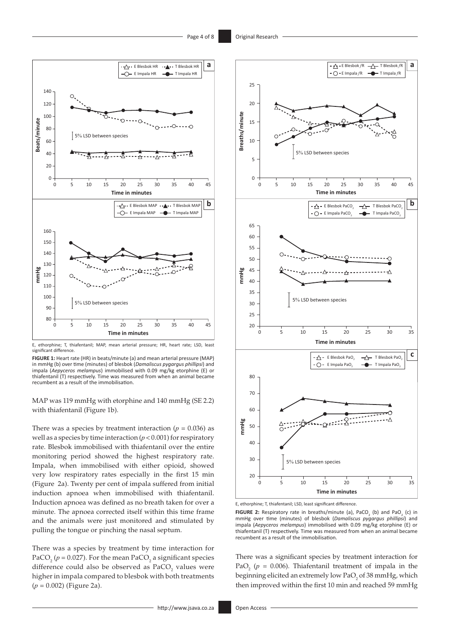

E, ethorphine; T, thiafentanil; MAP, mean arterial pressure; HR, heart rate; LSD, least significant difference.

**FIGURE 1:** Heart rate (HR) in beats/minute (a) and mean arterial pressure (MAP) in mmHg (b) over time (minutes) of blesbok (*Damaliscus pygargus phillipsi*) and impala (*Aepyceros melampus*) immobilised with 0.09 mg/kg etorphine (E) or thiafentanil (T) respectively. Time was measured from when an animal became recumbent as a result of the immobilisation.

MAP was 119 mmHg with etorphine and 140 mmHg (SE 2.2) with thiafentanil (Figure 1b).

There was a species by treatment interaction ( $p = 0.036$ ) as well as a species by time interaction  $(p < 0.001)$  for respiratory rate. Blesbok immobilised with thiafentanil over the entire monitoring period showed the highest respiratory rate. Impala, when immobilised with either opioid, showed very low respiratory rates especially in the first 15 min (Figure 2a). Twenty per cent of impala suffered from initial induction apnoea when immobilised with thiafentanil. Induction apnoea was defined as no breath taken for over a minute. The apnoea corrected itself within this time frame and the animals were just monitored and stimulated by pulling the tongue or pinching the nasal septum.

There was a species by treatment by time interaction for PaCO<sub>2</sub> ( $p = 0.027$ ). For the mean PaCO<sub>2</sub> a significant species difference could also be observed as  $\text{PaCO}_2$  values were higher in impala compared to blesbok with both treatments (*p* = 0.002) (Figure 2a).



E, ethorphine; T, thiafentanil; LSD, least significant difference.

**FIGURE 2:** Respiratory rate in breaths/minute (a), PaCO<sub>2</sub> (b) and PaO<sub>2</sub> (c) in mmHg over time (minutes) of blesbok (*Damaliscus pygargus phillipsi*) and impala (*Aepyceros melampus*) immobilised with 0.09 mg/kg etorphine (E) or thiafentanil (T) respectively. Time was measured from when an animal became recumbent as a result of the immobilisation.

There was a significant species by treatment interaction for PaO<sub>2</sub> ( $p = 0.006$ ). Thiafentanil treatment of impala in the beginning elicited an extremely low  $PaO<sub>2</sub>$  of 38 mmHg, which then improved within the first 10 min and reached 59 mmHg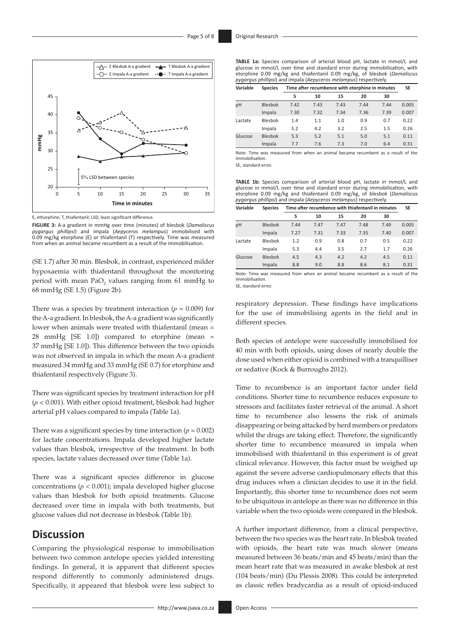

E, ethorphine; T, thiafentanil; LSD, least significant difference.

**FIGURE 3:** A-a gradient in mmHg over time (minutes) of blesbok (*Damaliscus pygargus phillipsi*) and impala (*Aepyceros melampus*) immobilised with 0.09 mg/kg etorphine (E) or thiafentanil (T) respectively. Time was measured from when an animal became recumbent as a result of the immobilisation.

(SE 1.7) after 30 min. Blesbok, in contrast, experienced milder hypoxaemia with thiafentanil throughout the monitoring period with mean  $PaO_2$  values ranging from 61 mmHg to 68 mmHg (SE 1.5) (Figure 2b).

There was a species by treatment interaction  $(p = 0.009)$  for the A-a gradient. In blesbok, the A-a gradient was significantly lower when animals were treated with thiafentanil (mean = 28 mmHg [SE 1.0]) compared to etorphine (mean = 37 mmHg [SE 1.0]). This difference between the two opioids was not observed in impala in which the mean A-a gradient measured 34 mmHg and 33 mmHg (SE 0.7) for etorphine and thiafentanil respectively (Figure 3).

There was significant species by treatment interaction for pH (*p* < 0.001). With either opioid treatment, blesbok had higher arterial pH values compared to impala (Table 1a).

There was a significant species by time interaction  $(p = 0.002)$ for lactate concentrations. Impala developed higher lactate values than blesbok, irrespective of the treatment. In both species, lactate values decreased over time (Table 1a).

There was a significant species difference in glucose concentrations (*p* < 0.001); impala developed higher glucose values than blesbok for both opioid treatments. Glucose decreased over time in impala with both treatments, but glucose values did not decrease in blesbok (Table 1b).

# **Discussion**

Comparing the physiological response to immobilisation between two common antelope species yielded interesting findings. In general, it is apparent that different species respond differently to commonly administered drugs. Specifically, it appeared that blesbok were less subject to

**TABLE 1a:** Species comparison of arterial blood pH, lactate in mmol/L and glucose in mmol/L over time and standard error during immobilisation, with etorphine 0.09 mg/kg and thiafentanil 0.09 mg/kg, of blesbok (*Damaliscus pygargus phillipsi*) and impala (*Aepyceros melampus*) respectively.

| Variable | <b>Species</b> | Time after recumbence with etorphine in minutes |      |      |      |      |       |
|----------|----------------|-------------------------------------------------|------|------|------|------|-------|
|          |                | 5                                               | 10   | 15   | 20   | 30   |       |
| pH       | Blesbok        | 7.42                                            | 7.43 | 7.43 | 7.44 | 7.44 | 0.005 |
|          | Impala         | 7.30                                            | 7.32 | 7.34 | 7.36 | 7.39 | 0.007 |
| Lactate  | Blesbok        | 1.4                                             | 1.1  | 1.0  | 0.9  | 0.7  | 0.22  |
|          | Impala         | 5.2                                             | 4.2  | 3.2  | 2.5  | 1.5  | 0.26  |
| Glucose  | <b>Blesbok</b> | 5.3                                             | 5.2  | 5.1  | 5.0  | 5.1  | 0.11  |
|          | Impala         | 7.7                                             | 7.6  | 7.3  | 7.0  | 6.4  | 0.31  |

Note: Time was measured from when an animal became recumbent as a result of the immobilisation.

SE, standard error.

**TABLE 1b:** Species comparison of arterial blood pH, lactate in mmol/L and glucose in mmol/L over time and standard error during immobilisation, with etorphine 0.09 mg/kg and thiafentanil 0.09 mg/kg, of blesbok (*Damaliscus pygargus phillipsi*) and impala (*Aepyceros melampus*) respectively.

| Variable | <b>Species</b> | Time after recumbence with thiafentanil in minutes |      |      |      |      |       |
|----------|----------------|----------------------------------------------------|------|------|------|------|-------|
|          |                | 5                                                  | 10   | 15   | 20   | 30   |       |
| pH       | <b>Blesbok</b> | 7.44                                               | 7.47 | 7.47 | 7.48 | 7.49 | 0.005 |
|          | Impala         | 7.27                                               | 7.31 | 7.33 | 7.35 | 7.40 | 0.007 |
| Lactate  | Blesbok        | 1.2                                                | 0.9  | 0.8  | 0.7  | 0.5  | 0.22  |
|          | Impala         | 5.3                                                | 4.4  | 3.5  | 2.7  | 1.7  | 0.26  |
| Glucose  | <b>Blesbok</b> | 4.5                                                | 4.3  | 4.2  | 4.2  | 4.5  | 0.11  |
|          | Impala         | 8.8                                                | 9.0  | 8.8  | 8.6  | 8.1  | 0.31  |

Note: Time was measured from when an animal became recumbent as a result of the immobilisation. SE, standard error.

respiratory depression. These findings have implications for the use of immobilising agents in the field and in different species.

Both species of antelope were successfully immobilised for 40 min with both opioids, using doses of nearly double the dose used when either opioid is combined with a tranquilliser or sedative (Kock & Burroughs 2012).

Time to recumbence is an important factor under field conditions. Shorter time to recumbence reduces exposure to stressors and facilitates faster retrieval of the animal. A short time to recumbence also lessens the risk of animals disappearing or being attacked by herd members or predators whilst the drugs are taking effect. Therefore, the significantly shorter time to recumbence measured in impala when immobilised with thiafentanil in this experiment is of great clinical relevance. However, this factor must be weighed up against the severe adverse cardiopulmonary effects that this drug induces when a clinician decides to use it in the field. Importantly, this shorter time to recumbence does not seem to be ubiquitous in antelope as there was no difference in this variable when the two opioids were compared in the blesbok.

A further important difference, from a clinical perspective, between the two species was the heart rate. In blesbok treated with opioids, the heart rate was much slower (means measured between 36 beats/min and 45 beats/min) than the mean heart rate that was measured in awake blesbok at rest (104 beats/min) (Du Plessis 2008). This could be interpreted as classic reflex bradycardia as a result of opioid-induced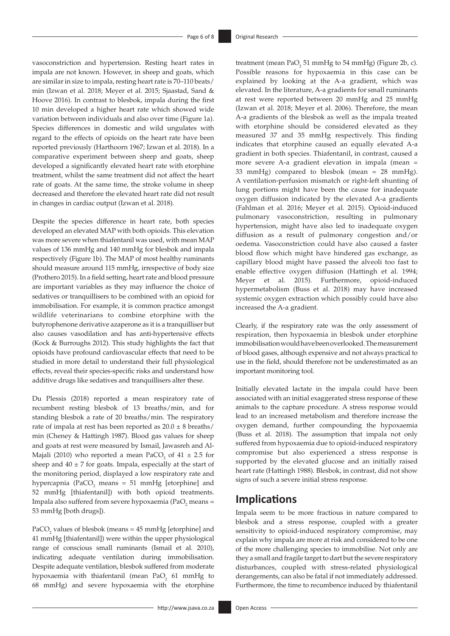vasoconstriction and hypertension. Resting heart rates in impala are not known. However, in sheep and goats, which are similar in size to impala, resting heart rate is 70–110 beats/ min (Izwan et al. 2018; Meyer et al. 2015; Sjaastad, Sand & Hoove 2016). In contrast to blesbok, impala during the first 10 min developed a higher heart rate which showed wide variation between individuals and also over time (Figure 1a). Species differences in domestic and wild ungulates with regard to the effects of opioids on the heart rate have been reported previously (Harthoorn 1967; Izwan et al. 2018). In a comparative experiment between sheep and goats, sheep developed a significantly elevated heart rate with etorphine treatment, whilst the same treatment did not affect the heart rate of goats. At the same time, the stroke volume in sheep decreased and therefore the elevated heart rate did not result in changes in cardiac output (Izwan et al. 2018).

Despite the species difference in heart rate, both species developed an elevated MAP with both opioids. This elevation was more severe when thiafentanil was used, with mean MAP values of 136 mmHg and 140 mmHg for blesbok and impala respectively (Figure 1b). The MAP of most healthy ruminants should measure around 115 mmHg, irrespective of body size (Prothero 2015). In a field setting, heart rate and blood pressure are important variables as they may influence the choice of sedatives or tranquillisers to be combined with an opioid for immobilisation. For example, it is common practice amongst wildlife veterinarians to combine etorphine with the butyrophenone derivative azaperone as it is a tranquilliser but also causes vasodilation and has anti-hypertensive effects (Kock & Burroughs 2012). This study highlights the fact that opioids have profound cardiovascular effects that need to be studied in more detail to understand their full physiological effects, reveal their species-specific risks and understand how additive drugs like sedatives and tranquillisers alter these.

Du Plessis (2018) reported a mean respiratory rate of recumbent resting blesbok of 13 breaths/min, and for standing blesbok a rate of 20 breaths/min. The respiratory rate of impala at rest has been reported as  $20.0 \pm 8$  breaths/ min (Cheney & Hattingh 1987). Blood gas values for sheep and goats at rest were measured by Ismail, Jawasreh and Al-Majali (2010) who reported a mean PaCO<sub>2</sub> of  $41 \pm 2.5$  for sheep and  $40 \pm 7$  for goats. Impala, especially at the start of the monitoring period, displayed a low respiratory rate and hypercapnia (PaCO<sub>2</sub> means = 51 mmHg [etorphine] and 52 mmHg [thiafentanil]) with both opioid treatments. Impala also suffered from severe hypoxaemia (Pa $O_2$  means = 53 mmHg [both drugs]).

PaCO<sub>2</sub> values of blesbok (means =  $45$  mmHg [etorphine] and 41 mmHg [thiafentanil]) were within the upper physiological range of conscious small ruminants (Ismail et al. 2010), indicating adequate ventilation during immobilisation. Despite adequate ventilation, blesbok suffered from moderate hypoxaemia with thiafentanil (mean  $PaO<sub>2</sub>$  61 mmHg to 68 mmHg) and severe hypoxaemia with the etorphine

treatment (mean  $PaO<sub>2</sub> 51$  mmHg to 54 mmHg) (Figure 2b, c). Possible reasons for hypoxaemia in this case can be explained by looking at the A-a gradient, which was elevated. In the literature, A-a gradients for small ruminants at rest were reported between 20 mmHg and 25 mmHg (Izwan et al. 2018; Meyer et al. 2006). Therefore, the mean A-a gradients of the blesbok as well as the impala treated with etorphine should be considered elevated as they measured 37 and 35 mmHg respectively. This finding indicates that etorphine caused an equally elevated A-a gradient in both species. Thiafentanil, in contrast, caused a more severe A-a gradient elevation in impala (mean = 33 mmHg) compared to blesbok (mean = 28 mmHg). A ventilation-perfusion mismatch or right-left shunting of lung portions might have been the cause for inadequate oxygen diffusion indicated by the elevated A-a gradients (Fahlman et al. 2016; Meyer et al. 2015). Opioid-induced pulmonary vasoconstriction, resulting in pulmonary hypertension, might have also led to inadequate oxygen diffusion as a result of pulmonary congestion and/or oedema. Vasoconstriction could have also caused a faster blood flow which might have hindered gas exchange, as capillary blood might have passed the alveoli too fast to enable effective oxygen diffusion (Hattingh et al. 1994; Meyer et al. 2015). Furthermore, opioid-induced hypermetabolism (Buss et al. 2018) may have increased systemic oxygen extraction which possibly could have also

Clearly, if the respiratory rate was the only assessment of respiration, then hypoxaemia in blesbok under etorphine immobilisation would have been overlooked. The measurement of blood gases, although expensive and not always practical to use in the field, should therefore not be underestimated as an important monitoring tool.

Initially elevated lactate in the impala could have been associated with an initial exaggerated stress response of these animals to the capture procedure. A stress response would lead to an increased metabolism and therefore increase the oxygen demand, further compounding the hypoxaemia (Buss et al. 2018). The assumption that impala not only suffered from hypoxaemia due to opioid-induced respiratory compromise but also experienced a stress response is supported by the elevated glucose and an initially raised heart rate (Hattingh 1988). Blesbok, in contrast, did not show signs of such a severe initial stress response.

## **Implications**

increased the A-a gradient.

Impala seem to be more fractious in nature compared to blesbok and a stress response, coupled with a greater sensitivity to opioid-induced respiratory compromise, may explain why impala are more at risk and considered to be one of the more challenging species to immobilise. Not only are they a small and fragile target to dart but the severe respiratory disturbances, coupled with stress-related physiological derangements, can also be fatal if not immediately addressed. Furthermore, the time to recumbence induced by thiafentanil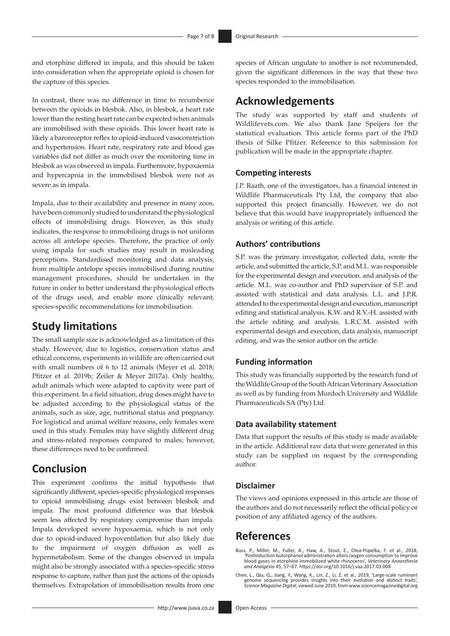and etorphine differed in impala, and this should be taken into consideration when the appropriate opioid is chosen for the capture of this species.

In contrast, there was no difference in time to recumbence between the opioids in blesbok. Also, in blesbok, a heart rate lower than the resting heart rate can be expected when animals are immobilised with these opioids. This lower heart rate is likely a baroreceptor reflex to opioid-induced vasoconstriction and hypertension. Heart rate, respiratory rate and blood gas variables did not differ as much over the monitoring time in blesbok as was observed in impala. Furthermore, hypoxaemia and hypercapnia in the immobilised blesbok were not as severe as in impala.

Impala, due to their availability and presence in many zoos, have been commonly studied to understand the physiological effects of immobilising drugs. However, as this study indicates, the response to immobilising drugs is not uniform across all antelope species. Therefore, the practice of only using impala for such studies may result in misleading perceptions. Standardised monitoring and data analysis, from multiple antelope species immobilised during routine management procedures, should be undertaken in the future in order to better understand the physiological effects of the drugs used, and enable more clinically relevant, species-specific recommendations for immobilisation.

# **Study limitations**

The small sample size is acknowledged as a limitation of this study. However, due to logistics, conservation status and ethical concerns, experiments in wildlife are often carried out with small numbers of 6 to 12 animals (Meyer et al. 2018; Pfitzer et al. 2019b; Zeiler & Meyer 2017a). Only healthy, adult animals which were adapted to captivity were part of this experiment. In a field situation, drug doses might have to be adjusted according to the physiological status of the animals, such as size, age, nutritional status and pregnancy. For logistical and animal welfare reasons, only females were used in this study. Females may have slightly different drug and stress-related responses compared to males; however, these differences need to be confirmed.

# **Conclusion**

This experiment confirms the initial hypothesis that significantly different, species-specific physiological responses to opioid immobilising drugs exist between blesbok and impala. The most profound difference was that blesbok seem less affected by respiratory compromise than impala. Impala developed severe hypoxaemia, which is not only due to opioid-induced hypoventilation but also likely due to the impairment of oxygen diffusion as well as hypermetabolism. Some of the changes observed in impala might also be strongly associated with a species-specific stress response to capture, rather than just the actions of the opioids themselves. Extrapolation of immobilisation results from one

species of African ungulate to another is not recommended, given the significant differences in the way that these two species responded to the immobilisation.

# **Acknowledgements**

The study was supported by staff and students of [Wildlifevets.com](http://Wildlifevets.com). We also thank Jane Speijers for the statistical evaluation. This article forms part of the PhD thesis of Silke Pfitzer. Reference to this submission for publication will be made in the appropriate chapter.

#### **Competing interests**

J.P. Raath, one of the investigators, has a financial interest in Wildlife Pharmaceuticals Pty Ltd, the company that also supported this project financially. However, we do not believe that this would have inappropriately influenced the analysis or writing of this article.

### **Authors' contributions**

S.P. was the primary investigator, collected data, wrote the article, and submitted the article, S.P. and M.L. was responsible for the experimental design and execution. and analysis of the article. M.L. was co-author and PhD supervisor of S.P. and assisted with statistical and data analysis. L.L. and J.P.R. attended to the experimental design and execution, manuscript editing and statistical analysis. K.W. and R.V.-H. assisted with the article editing and analysis. L.R.C.M. assisted with experimental design and execution, data analysis, manuscript editing, and was the senior author on the article.

### **Funding information**

This study was financially supported by the research fund of the Wildlife Group of the South African Veterinary Association as well as by funding from Murdoch University and Wildlife Pharmaceuticals SA (Pty) Ltd.

### **Data availability statement**

Data that support the results of this study is made available in the article. Additional raw data that were generated in this study can be supplied on request by the corresponding author.

#### **Disclaimer**

The views and opinions expressed in this article are those of the authors and do not necessarily reflect the official policy or position of any affiliated agency of the authors.

# **References**

- Buss, P., Miller, M., Fuller, A., Haw, A., Stout, E., Olea-Popelka, F. et al., 2018, 'Postinduction butorphanol administration alters oxygen consumption to improve blood gases in etorphine-immobilized white rhinoceros', *Veterinary Anaesthesia and Analgesia* 45, 57–67.<https://doi.org/10.1016/j.vaa.2017.03.008>
- Chen, L., Qiu, Q., Jiang, Y., Wang, K., Lin, Z., Li, Z. et al., 2019, 'Large-scale ruminant genome sequencing provides insights into their evolution and distinct traits', *Science Magazine Digital*, viewed June 2019, from<www.sciencemagazinedigital.org>